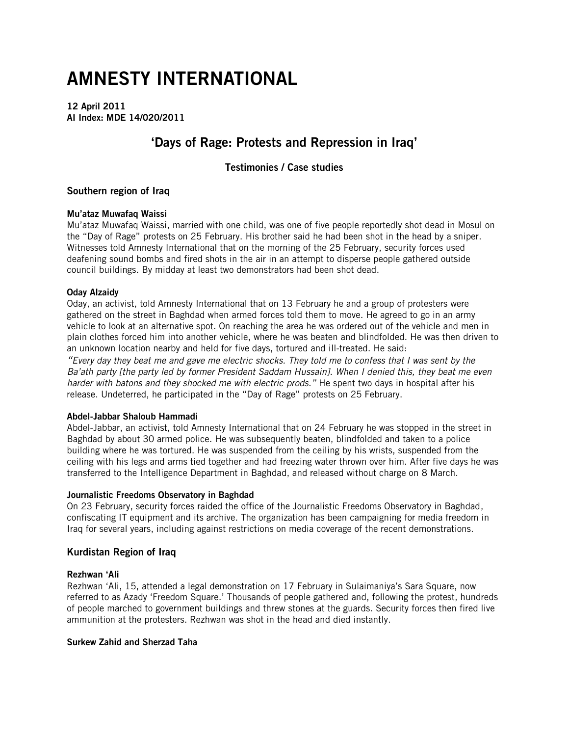# AMNESTY INTERNATIONAL

12 April 2011 AI Index: MDE 14/020/2011

# 'Days of Rage: Protests and Repression in Iraq'

# Testimonies / Case studies

# Southern region of Iraq

# Mu'ataz Muwafaq Waissi

Mu'ataz Muwafaq Waissi, married with one child, was one of five people reportedly shot dead in Mosul on the "Day of Rage" protests on 25 February. His brother said he had been shot in the head by a sniper. Witnesses told Amnesty International that on the morning of the 25 February, security forces used deafening sound bombs and fired shots in the air in an attempt to disperse people gathered outside council buildings. By midday at least two demonstrators had been shot dead.

# Oday Alzaidy

Oday, an activist, told Amnesty International that on 13 February he and a group of protesters were gathered on the street in Baghdad when armed forces told them to move. He agreed to go in an army vehicle to look at an alternative spot. On reaching the area he was ordered out of the vehicle and men in plain clothes forced him into another vehicle, where he was beaten and blindfolded. He was then driven to an unknown location nearby and held for five days, tortured and ill-treated. He said:

*"Every day they beat me and gave me electric shocks. They told me to confess that I was sent by the Ba'ath party [the party led by former President Saddam Hussain]. When I denied this, they beat me even harder with batons and they shocked me with electric prods."* He spent two days in hospital after his release. Undeterred, he participated in the "Day of Rage" protests on 25 February.

#### Abdel-Jabbar Shaloub Hammadi

Abdel-Jabbar, an activist, told Amnesty International that on 24 February he was stopped in the street in Baghdad by about 30 armed police. He was subsequently beaten, blindfolded and taken to a police building where he was tortured. He was suspended from the ceiling by his wrists, suspended from the ceiling with his legs and arms tied together and had freezing water thrown over him. After five days he was transferred to the Intelligence Department in Baghdad, and released without charge on 8 March.

#### Journalistic Freedoms Observatory in Baghdad

On 23 February, security forces raided the office of the Journalistic Freedoms Observatory in Baghdad, confiscating IT equipment and its archive. The organization has been campaigning for media freedom in Iraq for several years, including against restrictions on media coverage of the recent demonstrations.

# Kurdistan Region of Iraq

#### Rezhwan 'Ali

Rezhwan 'Ali, 15, attended a legal demonstration on 17 February in Sulaimaniya's Sara Square, now referred to as Azady 'Freedom Square.' Thousands of people gathered and, following the protest, hundreds of people marched to government buildings and threw stones at the guards. Security forces then fired live ammunition at the protesters. Rezhwan was shot in the head and died instantly.

#### Surkew Zahid and Sherzad Taha